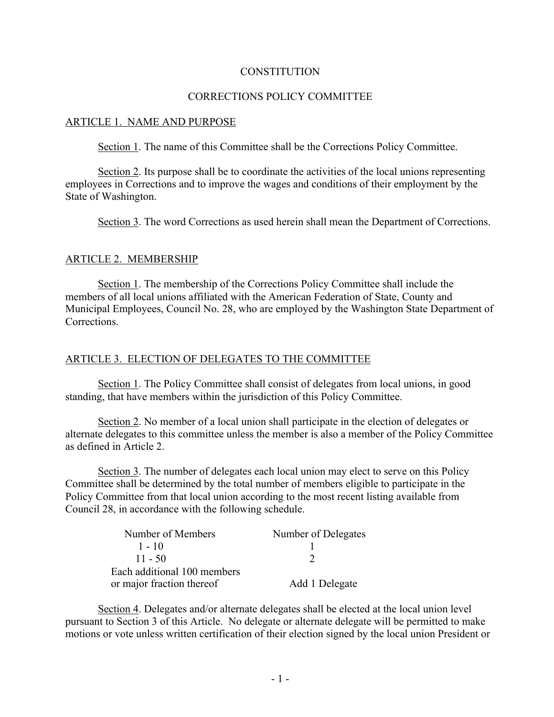#### **CONSTITUTION**

# CORRECTIONS POLICY COMMITTEE

#### ARTICLE 1. NAME AND PURPOSE

Section 1. The name of this Committee shall be the Corrections Policy Committee.

Section 2. Its purpose shall be to coordinate the activities of the local unions representing employees in Corrections and to improve the wages and conditions of their employment by the State of Washington.

Section 3. The word Corrections as used herein shall mean the Department of Corrections.

## ARTICLE 2. MEMBERSHIP

Section 1. The membership of the Corrections Policy Committee shall include the members of all local unions affiliated with the American Federation of State, County and Municipal Employees, Council No. 28, who are employed by the Washington State Department of **Corrections** 

#### ARTICLE 3. ELECTION OF DELEGATES TO THE COMMITTEE

Section 1. The Policy Committee shall consist of delegates from local unions, in good standing, that have members within the jurisdiction of this Policy Committee.

Section 2. No member of a local union shall participate in the election of delegates or alternate delegates to this committee unless the member is also a member of the Policy Committee as defined in Article 2.

Section 3. The number of delegates each local union may elect to serve on this Policy Committee shall be determined by the total number of members eligible to participate in the Policy Committee from that local union according to the most recent listing available from Council 28, in accordance with the following schedule.

| Number of Members           | Number of Delegates |
|-----------------------------|---------------------|
| $1 - 10$                    |                     |
| $11 - 50$                   |                     |
| Each additional 100 members |                     |
| or major fraction thereof   | Add 1 Delegate      |

Section 4. Delegates and/or alternate delegates shall be elected at the local union level pursuant to Section 3 of this Article. No delegate or alternate delegate will be permitted to make motions or vote unless written certification of their election signed by the local union President or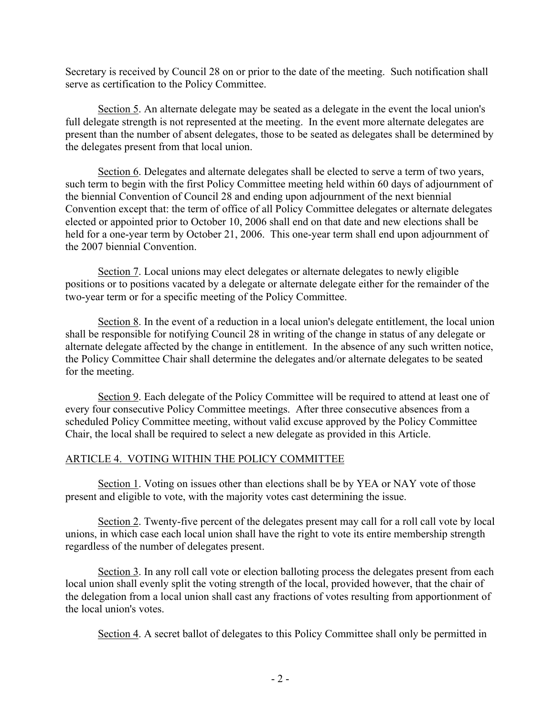Secretary is received by Council 28 on or prior to the date of the meeting. Such notification shall serve as certification to the Policy Committee.

Section 5. An alternate delegate may be seated as a delegate in the event the local union's full delegate strength is not represented at the meeting. In the event more alternate delegates are present than the number of absent delegates, those to be seated as delegates shall be determined by the delegates present from that local union.

Section 6. Delegates and alternate delegates shall be elected to serve a term of two years, such term to begin with the first Policy Committee meeting held within 60 days of adjournment of the biennial Convention of Council 28 and ending upon adjournment of the next biennial Convention except that: the term of office of all Policy Committee delegates or alternate delegates elected or appointed prior to October 10, 2006 shall end on that date and new elections shall be held for a one-year term by October 21, 2006. This one-year term shall end upon adjournment of the 2007 biennial Convention.

Section 7. Local unions may elect delegates or alternate delegates to newly eligible positions or to positions vacated by a delegate or alternate delegate either for the remainder of the two-year term or for a specific meeting of the Policy Committee.

Section 8. In the event of a reduction in a local union's delegate entitlement, the local union shall be responsible for notifying Council 28 in writing of the change in status of any delegate or alternate delegate affected by the change in entitlement. In the absence of any such written notice, the Policy Committee Chair shall determine the delegates and/or alternate delegates to be seated for the meeting.

Section 9. Each delegate of the Policy Committee will be required to attend at least one of every four consecutive Policy Committee meetings. After three consecutive absences from a scheduled Policy Committee meeting, without valid excuse approved by the Policy Committee Chair, the local shall be required to select a new delegate as provided in this Article.

# ARTICLE 4. VOTING WITHIN THE POLICY COMMITTEE

Section 1. Voting on issues other than elections shall be by YEA or NAY vote of those present and eligible to vote, with the majority votes cast determining the issue.

Section 2. Twenty-five percent of the delegates present may call for a roll call vote by local unions, in which case each local union shall have the right to vote its entire membership strength regardless of the number of delegates present.

Section 3. In any roll call vote or election balloting process the delegates present from each local union shall evenly split the voting strength of the local, provided however, that the chair of the delegation from a local union shall cast any fractions of votes resulting from apportionment of the local union's votes.

Section 4. A secret ballot of delegates to this Policy Committee shall only be permitted in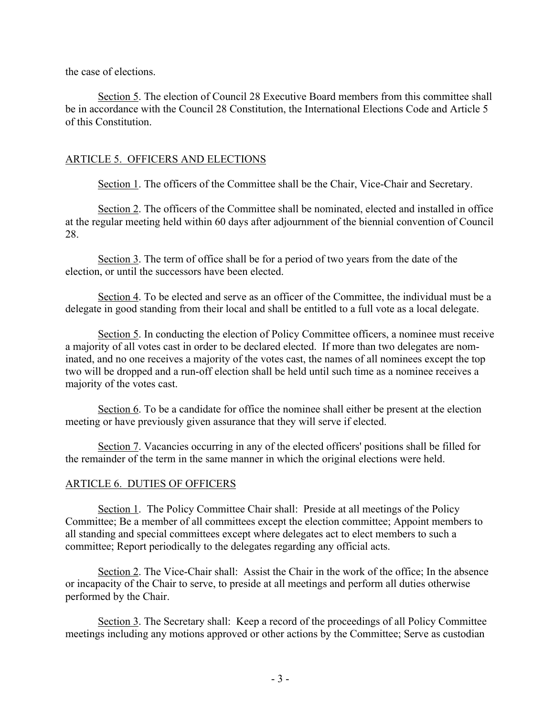the case of elections.

Section 5. The election of Council 28 Executive Board members from this committee shall be in accordance with the Council 28 Constitution, the International Elections Code and Article 5 of this Constitution.

## ARTICLE 5. OFFICERS AND ELECTIONS

Section 1. The officers of the Committee shall be the Chair, Vice-Chair and Secretary.

Section 2. The officers of the Committee shall be nominated, elected and installed in office at the regular meeting held within 60 days after adjournment of the biennial convention of Council 28.

Section 3. The term of office shall be for a period of two years from the date of the election, or until the successors have been elected.

Section 4. To be elected and serve as an officer of the Committee, the individual must be a delegate in good standing from their local and shall be entitled to a full vote as a local delegate.

Section 5. In conducting the election of Policy Committee officers, a nominee must receive a majority of all votes cast in order to be declared elected. If more than two delegates are nominated, and no one receives a majority of the votes cast, the names of all nominees except the top two will be dropped and a run-off election shall be held until such time as a nominee receives a majority of the votes cast.

Section 6. To be a candidate for office the nominee shall either be present at the election meeting or have previously given assurance that they will serve if elected.

Section 7. Vacancies occurring in any of the elected officers' positions shall be filled for the remainder of the term in the same manner in which the original elections were held.

#### ARTICLE 6. DUTIES OF OFFICERS

Section 1. The Policy Committee Chair shall: Preside at all meetings of the Policy Committee; Be a member of all committees except the election committee; Appoint members to all standing and special committees except where delegates act to elect members to such a committee; Report periodically to the delegates regarding any official acts.

Section 2. The Vice-Chair shall: Assist the Chair in the work of the office; In the absence or incapacity of the Chair to serve, to preside at all meetings and perform all duties otherwise performed by the Chair.

Section 3. The Secretary shall: Keep a record of the proceedings of all Policy Committee meetings including any motions approved or other actions by the Committee; Serve as custodian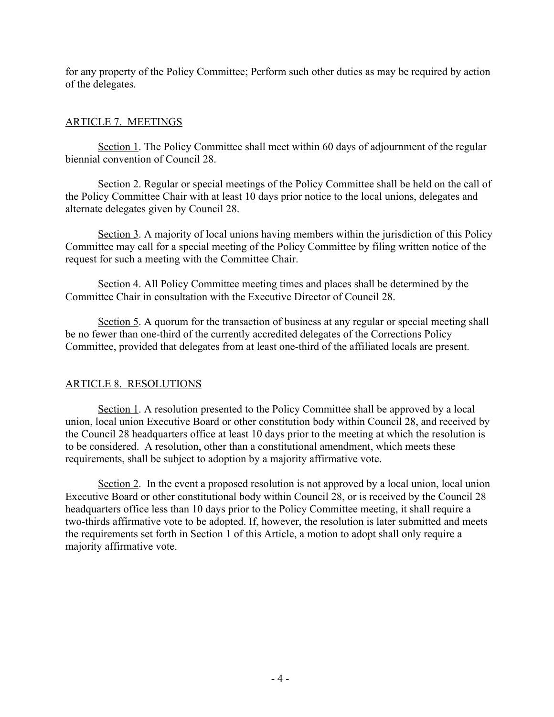for any property of the Policy Committee; Perform such other duties as may be required by action of the delegates.

# ARTICLE 7. MEETINGS

Section 1. The Policy Committee shall meet within 60 days of adjournment of the regular biennial convention of Council 28.

Section 2. Regular or special meetings of the Policy Committee shall be held on the call of the Policy Committee Chair with at least 10 days prior notice to the local unions, delegates and alternate delegates given by Council 28.

Section 3. A majority of local unions having members within the jurisdiction of this Policy Committee may call for a special meeting of the Policy Committee by filing written notice of the request for such a meeting with the Committee Chair.

Section 4. All Policy Committee meeting times and places shall be determined by the Committee Chair in consultation with the Executive Director of Council 28.

Section 5. A quorum for the transaction of business at any regular or special meeting shall be no fewer than one-third of the currently accredited delegates of the Corrections Policy Committee, provided that delegates from at least one-third of the affiliated locals are present.

# ARTICLE 8. RESOLUTIONS

Section 1. A resolution presented to the Policy Committee shall be approved by a local union, local union Executive Board or other constitution body within Council 28, and received by the Council 28 headquarters office at least 10 days prior to the meeting at which the resolution is to be considered. A resolution, other than a constitutional amendment, which meets these requirements, shall be subject to adoption by a majority affirmative vote.

Section 2. In the event a proposed resolution is not approved by a local union, local union Executive Board or other constitutional body within Council 28, or is received by the Council 28 headquarters office less than 10 days prior to the Policy Committee meeting, it shall require a two-thirds affirmative vote to be adopted. If, however, the resolution is later submitted and meets the requirements set forth in Section 1 of this Article, a motion to adopt shall only require a majority affirmative vote.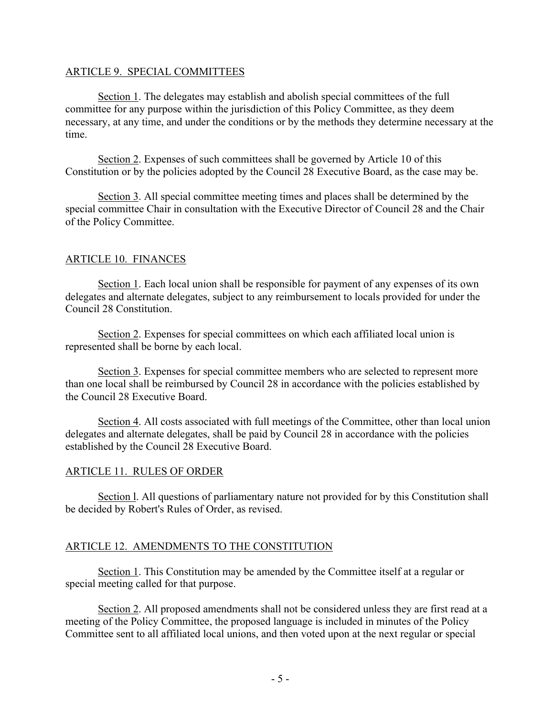## ARTICLE 9. SPECIAL COMMITTEES

Section 1. The delegates may establish and abolish special committees of the full committee for any purpose within the jurisdiction of this Policy Committee, as they deem necessary, at any time, and under the conditions or by the methods they determine necessary at the time.

Section 2. Expenses of such committees shall be governed by Article 10 of this Constitution or by the policies adopted by the Council 28 Executive Board, as the case may be.

Section 3. All special committee meeting times and places shall be determined by the special committee Chair in consultation with the Executive Director of Council 28 and the Chair of the Policy Committee.

# ARTICLE 10. FINANCES

Section 1. Each local union shall be responsible for payment of any expenses of its own delegates and alternate delegates, subject to any reimbursement to locals provided for under the Council 28 Constitution.

Section 2. Expenses for special committees on which each affiliated local union is represented shall be borne by each local.

Section 3. Expenses for special committee members who are selected to represent more than one local shall be reimbursed by Council 28 in accordance with the policies established by the Council 28 Executive Board.

Section 4. All costs associated with full meetings of the Committee, other than local union delegates and alternate delegates, shall be paid by Council 28 in accordance with the policies established by the Council 28 Executive Board.

# ARTICLE 11. RULES OF ORDER

Section l. All questions of parliamentary nature not provided for by this Constitution shall be decided by Robert's Rules of Order, as revised.

# ARTICLE 12. AMENDMENTS TO THE CONSTITUTION

Section 1. This Constitution may be amended by the Committee itself at a regular or special meeting called for that purpose.

Section 2. All proposed amendments shall not be considered unless they are first read at a meeting of the Policy Committee, the proposed language is included in minutes of the Policy Committee sent to all affiliated local unions, and then voted upon at the next regular or special